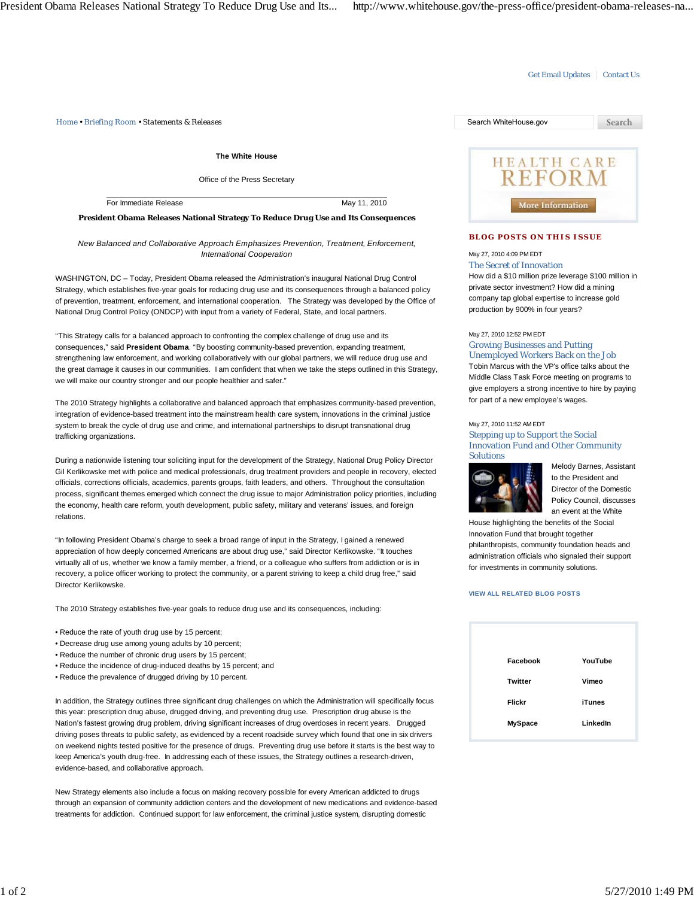# Get Email Updates | Contact Us

*Home • Briefing Room • Statements & Releases* Search WhiteHouse.gov

**The White House**

Office of the Press Secretary

For Immediate Release May 11, 2010

### **President Obama Releases National Strategy To Reduce Drug Use and Its Consequences**

# *New Balanced and Collaborative Approach Emphasizes Prevention, Treatment, Enforcement, International Cooperation*

WASHINGTON, DC – Today, President Obama released the Administration's inaugural National Drug Control Strategy, which establishes five-year goals for reducing drug use and its consequences through a balanced policy of prevention, treatment, enforcement, and international cooperation. The Strategy was developed by the Office of National Drug Control Policy (ONDCP) with input from a variety of Federal, State, and local partners.

"This Strategy calls for a balanced approach to confronting the complex challenge of drug use and its consequences," said **President Obama**. "By boosting community-based prevention, expanding treatment, strengthening law enforcement, and working collaboratively with our global partners, we will reduce drug use and the great damage it causes in our communities. I am confident that when we take the steps outlined in this Strategy, we will make our country stronger and our people healthier and safer."

The 2010 Strategy highlights a collaborative and balanced approach that emphasizes community-based prevention, integration of evidence-based treatment into the mainstream health care system, innovations in the criminal justice system to break the cycle of drug use and crime, and international partnerships to disrupt transnational drug trafficking organizations.

During a nationwide listening tour soliciting input for the development of the Strategy, National Drug Policy Director Gil Kerlikowske met with police and medical professionals, drug treatment providers and people in recovery, elected officials, corrections officials, academics, parents groups, faith leaders, and others. Throughout the consultation process, significant themes emerged which connect the drug issue to major Administration policy priorities, including the economy, health care reform, youth development, public safety, military and veterans' issues, and foreign relations.

"In following President Obama's charge to seek a broad range of input in the Strategy, I gained a renewed appreciation of how deeply concerned Americans are about drug use," said Director Kerlikowske. "It touches virtually all of us, whether we know a family member, a friend, or a colleague who suffers from addiction or is in recovery, a police officer working to protect the community, or a parent striving to keep a child drug free," said Director Kerlikowske.

The 2010 Strategy establishes five-year goals to reduce drug use and its consequences, including:

- Reduce the rate of youth drug use by 15 percent;
- Decrease drug use among young adults by 10 percent;
- Reduce the number of chronic drug users by 15 percent;
- Reduce the incidence of drug-induced deaths by 15 percent; and
- Reduce the prevalence of drugged driving by 10 percent.

In addition, the Strategy outlines three significant drug challenges on which the Administration will specifically focus this year: prescription drug abuse, drugged driving, and preventing drug use. Prescription drug abuse is the Nation's fastest growing drug problem, driving significant increases of drug overdoses in recent years. Drugged driving poses threats to public safety, as evidenced by a recent roadside survey which found that one in six drivers on weekend nights tested positive for the presence of drugs. Preventing drug use before it starts is the best way to keep America's youth drug-free. In addressing each of these issues, the Strategy outlines a research-driven, evidence-based, and collaborative approach.

New Strategy elements also include a focus on making recovery possible for every American addicted to drugs through an expansion of community addiction centers and the development of new medications and evidence-based treatments for addiction. Continued support for law enforcement, the criminal justice system, disrupting domestic



# **BLOG POSTS ON THIS ISSUE**

# May 27, 2010 4:09 PM EDT

The Secret of Innovation How did a \$10 million prize leverage \$100 million in private sector investment? How did a mining company tap global expertise to increase gold production by 900% in four years?

#### May 27, 2010 12:52 PM EDT

Growing Businesses and Putting Unemployed Workers Back on the Job Tobin Marcus with the VP's office talks about the Middle Class Task Force meeting on programs to give employers a strong incentive to hire by paying for part of a new employee's wages.

### May 27, 2010 11:52 AM EDT

Stepping up to Support the Social Innovation Fund and Other Community Solutions



Melody Barnes, Assistant to the President and Director of the Domestic Policy Council, discusses an event at the White

House highlighting the benefits of the Social Innovation Fund that brought together philanthropists, community foundation heads and administration officials who signaled their support for investments in community solutions.

#### **VIEW ALL RELATED BLOG POSTS**

| Facebook       | YouTube       |
|----------------|---------------|
| Twitter        | Vimeo         |
| Flickr         | <b>iTunes</b> |
| <b>MySpace</b> | LinkedIn      |
|                |               |